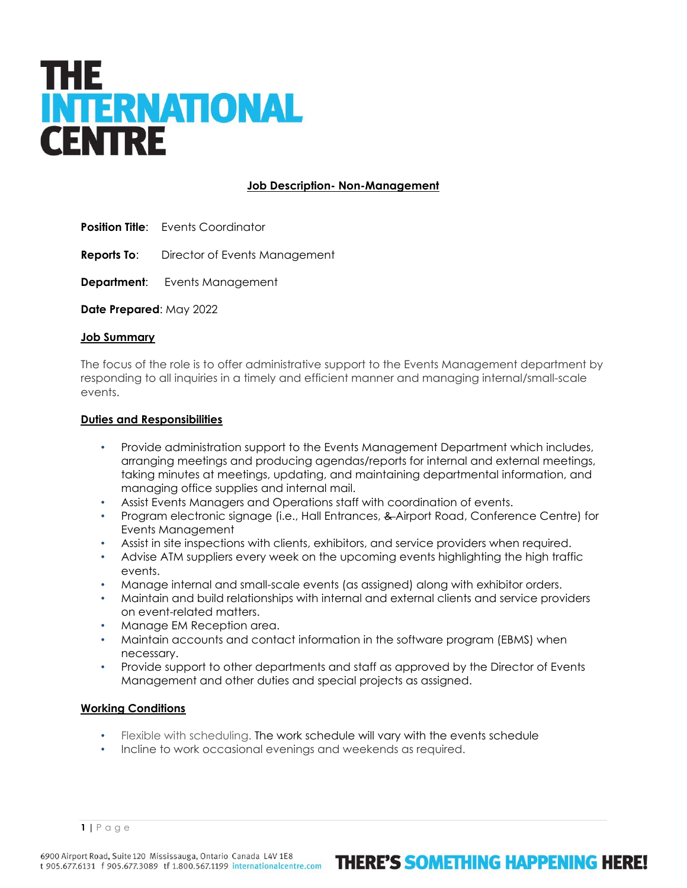# THE **INTERNATIONAL CENTRE**

## **Job Description- Non-Management**

- **Position Title:** Events Coordinator
- **Reports To**: Director of Events Management
- **Department:** Events Management

**Date Prepared**: May 2022

#### **Job Summary**

The focus of the role is to offer administrative support to the Events Management department by responding to all inquiries in a timely and efficient manner and managing internal/small-scale events.

#### **Duties and Responsibilities**

- Provide administration support to the Events Management Department which includes, arranging meetings and producing agendas/reports for internal and external meetings, taking minutes at meetings, updating, and maintaining departmental information, and managing office supplies and internal mail.
- Assist Events Managers and Operations staff with coordination of events.
- Program electronic signage (i.e., Hall Entrances, & Airport Road, Conference Centre) for Events Management
- Assist in site inspections with clients, exhibitors, and service providers when required.
- Advise ATM suppliers every week on the upcoming events highlighting the high traffic events.
- Manage internal and small-scale events (as assigned) along with exhibitor orders.
- Maintain and build relationships with internal and external clients and service providers on event-related matters.
- Manage EM Reception area.
- Maintain accounts and contact information in the software program (EBMS) when necessary.
- Provide support to other departments and staff as approved by the Director of Events Management and other duties and special projects as assigned.

### **Working Conditions**

- Flexible with scheduling. The work schedule will vary with the events schedule
- Incline to work occasional evenings and weekends as required.

**1 |** Page

# **THERE'S SOMETHING HAPPENING HERE!**